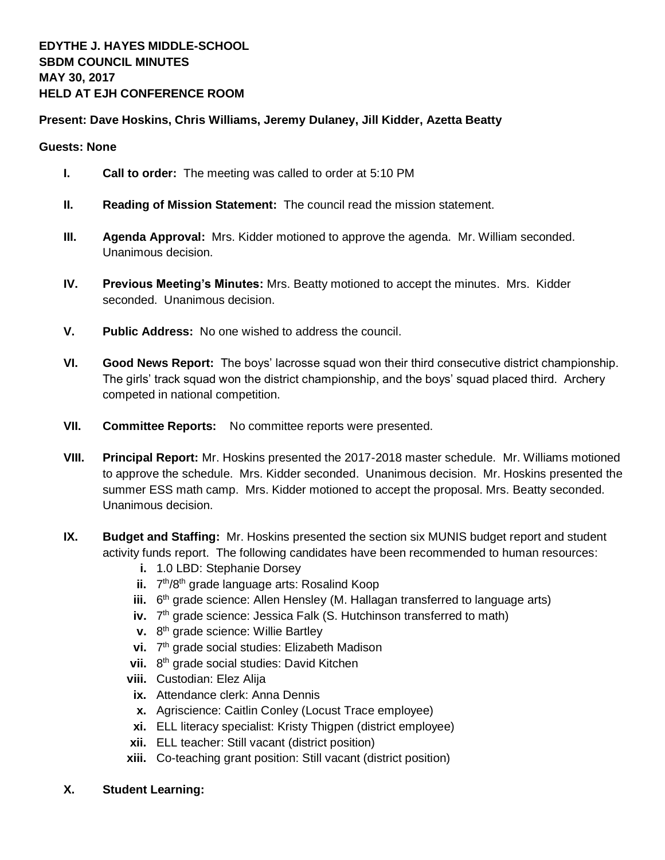## **Present: Dave Hoskins, Chris Williams, Jeremy Dulaney, Jill Kidder, Azetta Beatty**

## **Guests: None**

- **I. Call to order:** The meeting was called to order at 5:10 PM
- **II. Reading of Mission Statement:** The council read the mission statement.
- **III. Agenda Approval:** Mrs. Kidder motioned to approve the agenda. Mr. William seconded. Unanimous decision.
- **IV. Previous Meeting's Minutes:** Mrs. Beatty motioned to accept the minutes. Mrs. Kidder seconded. Unanimous decision.
- **V. Public Address:** No one wished to address the council.
- **VI. Good News Report:** The boys' lacrosse squad won their third consecutive district championship. The girls' track squad won the district championship, and the boys' squad placed third. Archery competed in national competition.
- **VII. Committee Reports:** No committee reports were presented.
- **VIII. Principal Report:** Mr. Hoskins presented the 2017-2018 master schedule. Mr. Williams motioned to approve the schedule. Mrs. Kidder seconded. Unanimous decision. Mr. Hoskins presented the summer ESS math camp. Mrs. Kidder motioned to accept the proposal. Mrs. Beatty seconded. Unanimous decision.
- **IX. Budget and Staffing:** Mr. Hoskins presented the section six MUNIS budget report and student activity funds report. The following candidates have been recommended to human resources:
	- **i.** 1.0 LBD: Stephanie Dorsey
	- ii. 7<sup>th</sup>/8<sup>th</sup> grade language arts: Rosalind Koop
	- iii. 6<sup>th</sup> grade science: Allen Hensley (M. Hallagan transferred to language arts)
	- iv. 7<sup>th</sup> grade science: Jessica Falk (S. Hutchinson transferred to math)
	- **v.** 8<sup>th</sup> grade science: Willie Bartley
	- vi. 7<sup>th</sup> grade social studies: Elizabeth Madison
	- vii. 8<sup>th</sup> grade social studies: David Kitchen
	- **viii.** Custodian: Elez Alija
	- **ix.** Attendance clerk: Anna Dennis
	- **x.** Agriscience: Caitlin Conley (Locust Trace employee)
	- **xi.** ELL literacy specialist: Kristy Thigpen (district employee)
	- **xii.** ELL teacher: Still vacant (district position)
	- **xiii.** Co-teaching grant position: Still vacant (district position)
- **X. Student Learning:**